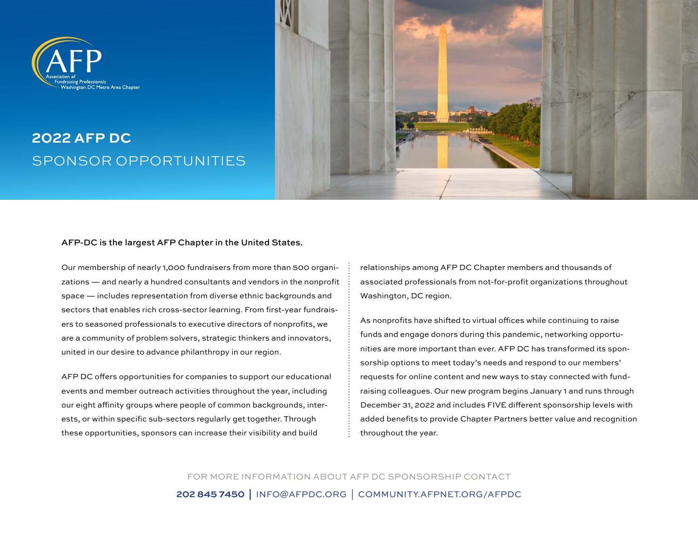# Vashington DC Metro Area Chapter

## **2022 AFP DC** SPONSOR OPPORTUNITIES



#### AFP-DC is the largest AFP Chapter in the United States.

Our membership of nearly 1,000 fundraisers from more than 500 organizations — and nearly a hundred consultants and vendors in the nonprofit space — includes representation from diverse ethnic backgrounds and sectors that enables rich cross-sector learning. From first-year fundraisers to seasoned professionals to executive directors of nonprofits, we are a community of problem solvers, strategic thinkers and innovators, united in our desire to advance philanthropy in our region.

AFP DC offers opportunities for companies to support our educational events and member outreach activities throughout the year, including our eight affinity groups where people of common backgrounds, interests, or within specific sub-sectors regularly get together. Through these opportunities, sponsors can increase their visibility and build

relationships among AFP DC Chapter members and thousands of associated professionals from not-for-profit organizations throughout Washington, DC region.

As nonprofits have shifted to virtual offices while continuing to raise funds and engage donors during this pandemic, networking opportunities are more important than ever. AFP DC has transformed its sponsorship options to meet today's needs and respond to our members' requests for online content and new ways to stay connected with fundraising colleagues. Our new program begins January 1 and runs through December 31, 2022 and includes FIVE different sponsorship levels with added benefits to provide Chapter Partners better value and recognition throughout the year.

FOR MORE INFORMATION ABOUT AFP DC SPONSORSHIP CONTACT **202 845 7450 |** [INFO@AFPDC.ORG](mailto:info%40afpdc.org?subject=) | [COMMUNITY.AFPNET.ORG/AFPDC](https://community.afpglobal.org/afpdc/home)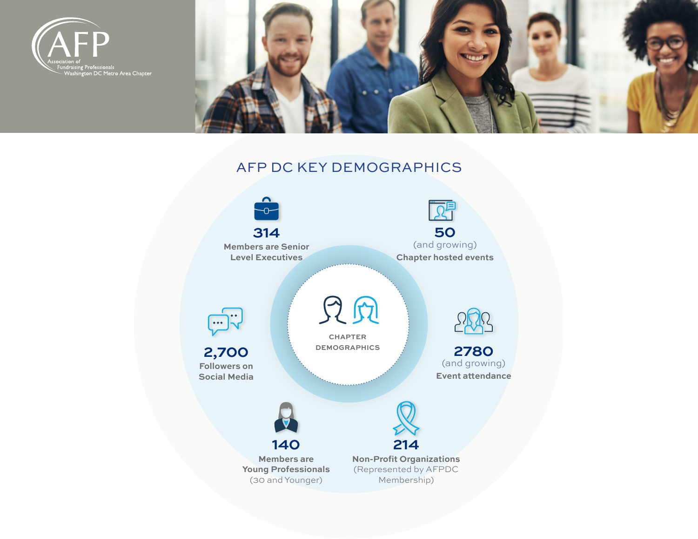



### AFP DC KEY DEMOGRAPHICS